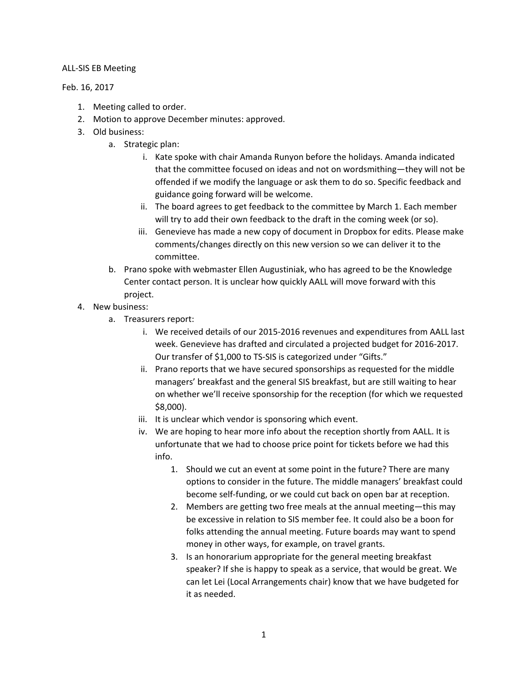## ALL-SIS EB Meeting

## Feb. 16, 2017

- 1. Meeting called to order.
- 2. Motion to approve December minutes: approved.
- 3. Old business:
	- a. Strategic plan:
		- i. Kate spoke with chair Amanda Runyon before the holidays. Amanda indicated that the committee focused on ideas and not on wordsmithing—they will not be offended if we modify the language or ask them to do so. Specific feedback and guidance going forward will be welcome.
		- ii. The board agrees to get feedback to the committee by March 1. Each member will try to add their own feedback to the draft in the coming week (or so).
		- iii. Genevieve has made a new copy of document in Dropbox for edits. Please make comments/changes directly on this new version so we can deliver it to the committee.
	- b. Prano spoke with webmaster Ellen Augustiniak, who has agreed to be the Knowledge Center contact person. It is unclear how quickly AALL will move forward with this project.
- 4. New business:
	- a. Treasurers report:
		- i. We received details of our 2015-2016 revenues and expenditures from AALL last week. Genevieve has drafted and circulated a projected budget for 2016-2017. Our transfer of \$1,000 to TS-SIS is categorized under "Gifts."
		- ii. Prano reports that we have secured sponsorships as requested for the middle managers' breakfast and the general SIS breakfast, but are still waiting to hear on whether we'll receive sponsorship for the reception (for which we requested \$8,000).
		- iii. It is unclear which vendor is sponsoring which event.
		- iv. We are hoping to hear more info about the reception shortly from AALL. It is unfortunate that we had to choose price point for tickets before we had this info.
			- 1. Should we cut an event at some point in the future? There are many options to consider in the future. The middle managers' breakfast could become self-funding, or we could cut back on open bar at reception.
			- 2. Members are getting two free meals at the annual meeting—this may be excessive in relation to SIS member fee. It could also be a boon for folks attending the annual meeting. Future boards may want to spend money in other ways, for example, on travel grants.
			- 3. Is an honorarium appropriate for the general meeting breakfast speaker? If she is happy to speak as a service, that would be great. We can let Lei (Local Arrangements chair) know that we have budgeted for it as needed.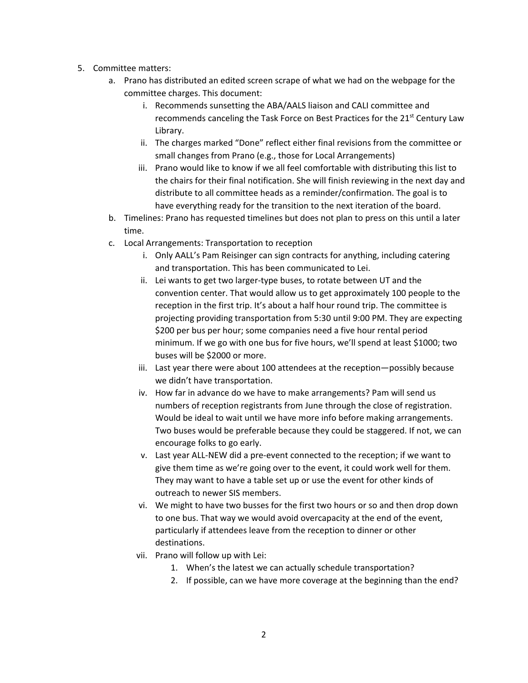- 5. Committee matters:
	- a. Prano has distributed an edited screen scrape of what we had on the webpage for the committee charges. This document:
		- i. Recommends sunsetting the ABA/AALS liaison and CALI committee and recommends canceling the Task Force on Best Practices for the 21<sup>st</sup> Century Law Library.
		- ii. The charges marked "Done" reflect either final revisions from the committee or small changes from Prano (e.g., those for Local Arrangements)
		- iii. Prano would like to know if we all feel comfortable with distributing this list to the chairs for their final notification. She will finish reviewing in the next day and distribute to all committee heads as a reminder/confirmation. The goal is to have everything ready for the transition to the next iteration of the board.
	- b. Timelines: Prano has requested timelines but does not plan to press on this until a later time.
	- c. Local Arrangements: Transportation to reception
		- i. Only AALL's Pam Reisinger can sign contracts for anything, including catering and transportation. This has been communicated to Lei.
		- ii. Lei wants to get two larger-type buses, to rotate between UT and the convention center. That would allow us to get approximately 100 people to the reception in the first trip. It's about a half hour round trip. The committee is projecting providing transportation from 5:30 until 9:00 PM. They are expecting \$200 per bus per hour; some companies need a five hour rental period minimum. If we go with one bus for five hours, we'll spend at least \$1000; two buses will be \$2000 or more.
		- iii. Last year there were about 100 attendees at the reception—possibly because we didn't have transportation.
		- iv. How far in advance do we have to make arrangements? Pam will send us numbers of reception registrants from June through the close of registration. Would be ideal to wait until we have more info before making arrangements. Two buses would be preferable because they could be staggered. If not, we can encourage folks to go early.
		- v. Last year ALL-NEW did a pre-event connected to the reception; if we want to give them time as we're going over to the event, it could work well for them. They may want to have a table set up or use the event for other kinds of outreach to newer SIS members.
		- vi. We might to have two busses for the first two hours or so and then drop down to one bus. That way we would avoid overcapacity at the end of the event, particularly if attendees leave from the reception to dinner or other destinations.
		- vii. Prano will follow up with Lei:
			- 1. When's the latest we can actually schedule transportation?
			- 2. If possible, can we have more coverage at the beginning than the end?